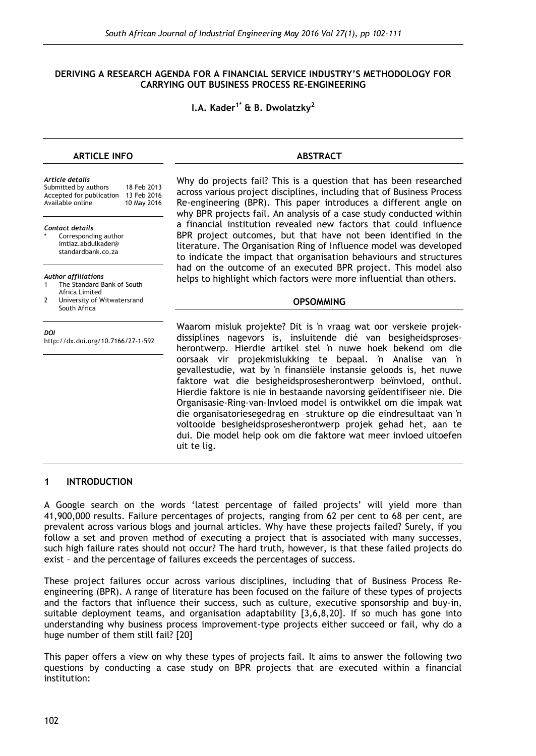#### **DERIVING A RESEARCH AGENDA FOR A FINANCIAL SERVICE INDUSTRY'S METHODOLOGY FOR CARRYING OUT BUSINESS PROCESS RE-ENGINEERING**

**I.A. Kader1\* & B. Dwolatzky2**

## **ARTICLE INFO**

| Article details<br>Submitted by authors<br>Accepted for publication<br>Available online                                      | Wł<br>18 Feb 2013<br>acı<br>13 Feb 2016<br>Re<br>10 May 2016<br>wh |
|------------------------------------------------------------------------------------------------------------------------------|--------------------------------------------------------------------|
| <b>Contact details</b><br>Corresponding author<br>imtiaz.abdulkader@<br>standardbank.co.za                                   | a :<br>ВP<br>lito<br>to                                            |
| Author affiliations<br>The Standard Bank of South<br>1<br>Africa Limited<br>2<br>University of Witwatersrand<br>South Africa | ha<br>he                                                           |
| DOI<br>http://dx.doi.org/10.7166/27-1-592                                                                                    | Wε<br>dis<br>he<br>oo<br>ge'<br>fal<br>Hie                         |

Why do projects fail? This is a question that has been researched ross various project disciplines, including that of Business Process -engineering (BPR). This paper introduces a different angle on ly BPR projects fail. An analysis of a case study conducted within financial institution revealed new factors that could influence R project outcomes, but that have not been identified in the erature. The Organisation Ring of Influence model was developed indicate the impact that organisation behaviours and structures d on the outcome of an executed BPR project. This model also lps to highlight which factors were more influential than others.

**ABSTRACT**

#### **OPSOMMING**

aarom misluk projekte? Dit is 'n vraag wat oor verskeie projeksiplines nagevors is, insluitende dié van besigheidsprosesrontwerp. Hierdie artikel stel 'n nuwe hoek bekend om die rsaak vir projekmislukking te bepaal. 'n Analise van 'n vallestudie, wat by 'n finansiële instansie geloods is, het nuwe faktore wat die besigheidsprosesherontwerp beïnvloed, onthul. erdie faktore is nie in bestaande navorsing geïdentifiseer nie. Die Organisasie-Ring-van-Invloed model is ontwikkel om die impak wat die organisatoriesegedrag en –strukture op die eindresultaat van 'n voltooide besigheidsprosesherontwerp projek gehad het, aan te dui. Die model help ook om die faktore wat meer invloed uitoefen uit te lig.

#### **1 INTRODUCTION**

A Google search on the words 'latest percentage of failed projects' will yield more than 41,900,000 results. Failure percentages of projects, ranging from 62 per cent to 68 per cent, are prevalent across various blogs and journal articles. Why have these projects failed? Surely, if you follow a set and proven method of executing a project that is associated with many successes, such high failure rates should not occur? The hard truth, however, is that these failed projects do exist – and the percentage of failures exceeds the percentages of success.

These project failures occur across various disciplines, including that of Business Process Reengineering (BPR). A range of literature has been focused on the failure of these types of projects and the factors that influence their success, such as culture, executive sponsorship and buy-in, suitable deployment teams, and organisation adaptability [3,6,8,20]. If so much has gone into understanding why business process improvement-type projects either succeed or fail, why do a huge number of them still fail? [20]

This paper offers a view on why these types of projects fail. It aims to answer the following two questions by conducting a case study on BPR projects that are executed within a financial institution: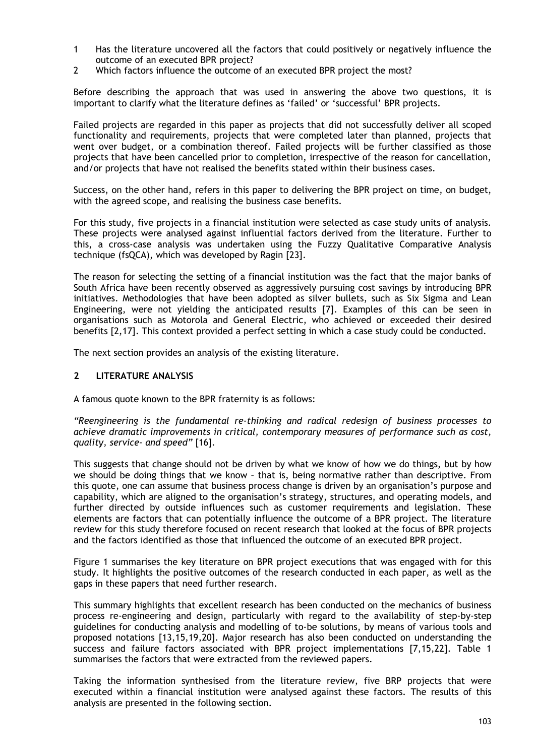- 1 Has the literature uncovered all the factors that could positively or negatively influence the outcome of an executed BPR project?
- 2 Which factors influence the outcome of an executed BPR project the most?

Before describing the approach that was used in answering the above two questions, it is important to clarify what the literature defines as 'failed' or 'successful' BPR projects.

Failed projects are regarded in this paper as projects that did not successfully deliver all scoped functionality and requirements, projects that were completed later than planned, projects that went over budget, or a combination thereof. Failed projects will be further classified as those projects that have been cancelled prior to completion, irrespective of the reason for cancellation, and/or projects that have not realised the benefits stated within their business cases.

Success, on the other hand, refers in this paper to delivering the BPR project on time, on budget, with the agreed scope, and realising the business case benefits.

For this study, five projects in a financial institution were selected as case study units of analysis. These projects were analysed against influential factors derived from the literature. Further to this, a cross-case analysis was undertaken using the Fuzzy Qualitative Comparative Analysis technique (fsQCA), which was developed by Ragin [23].

The reason for selecting the setting of a financial institution was the fact that the major banks of South Africa have been recently observed as aggressively pursuing cost savings by introducing BPR initiatives. Methodologies that have been adopted as silver bullets, such as Six Sigma and Lean Engineering, were not yielding the anticipated results [7]. Examples of this can be seen in organisations such as Motorola and General Electric, who achieved or exceeded their desired benefits [2,17]. This context provided a perfect setting in which a case study could be conducted.

The next section provides an analysis of the existing literature.

## **2 LITERATURE ANALYSIS**

A famous quote known to the BPR fraternity is as follows:

*"Reengineering is the fundamental re-thinking and radical redesign of business processes to achieve dramatic improvements in critical, contemporary measures of performance such as cost, quality, service- and speed"* [16].

This suggests that change should not be driven by what we know of how we do things, but by how we should be doing things that we know – that is, being normative rather than descriptive. From this quote, one can assume that business process change is driven by an organisation's purpose and capability, which are aligned to the organisation's strategy, structures, and operating models, and further directed by outside influences such as customer requirements and legislation. These elements are factors that can potentially influence the outcome of a BPR project. The literature review for this study therefore focused on recent research that looked at the focus of BPR projects and the factors identified as those that influenced the outcome of an executed BPR project.

Figure 1 summarises the key literature on BPR project executions that was engaged with for this study. It highlights the positive outcomes of the research conducted in each paper, as well as the gaps in these papers that need further research.

This summary highlights that excellent research has been conducted on the mechanics of business process re-engineering and design, particularly with regard to the availability of step-by-step guidelines for conducting analysis and modelling of to-be solutions, by means of various tools and proposed notations [13,15,19,20]. Major research has also been conducted on understanding the success and failure factors associated with BPR project implementations [7,15,22]. Table 1 summarises the factors that were extracted from the reviewed papers.

Taking the information synthesised from the literature review, five BRP projects that were executed within a financial institution were analysed against these factors. The results of this analysis are presented in the following section.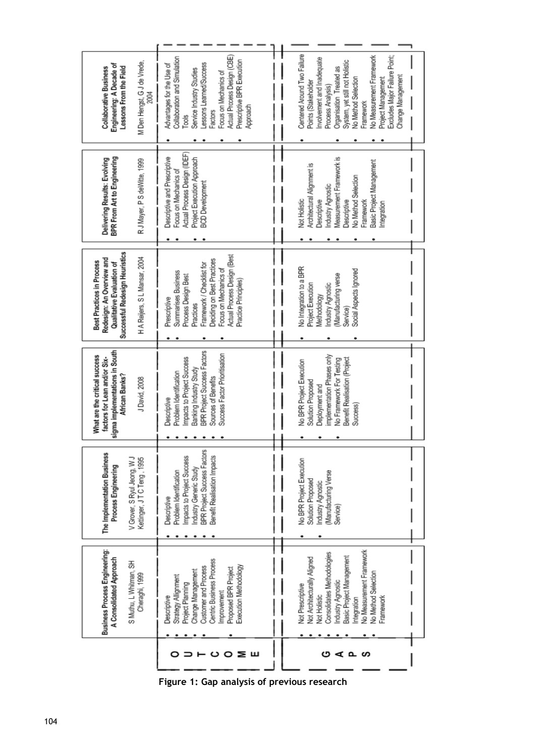|                | Business Process Engineering:<br>A Consolidated Approach<br>S Muthu, L Whitman, SH<br>Cheraghi, 1999                                                                                                                          | The Implementation Business<br>V Grover, S Ryul Jeong, W J<br>Kettinger, JTCTeng, 1995<br>Process Engineering                                               | sigma implementations in South<br>What are the critical success<br>factors for Lean and/or Six-<br>African Banks?<br>J David, 2008                                                  | Successful Redesign Heuristics<br>H A Reijers, S L Mansar, 2004<br>Redesign: An Overview and<br>Best Practices in Process<br>Qualitative Evaluation of                                                             | BPR From Art to Engineering<br>Delivering Results: Evolving<br>R J Mayer, P S deWitte, 1999                                                                                                              | M Den Hengst, G J de Vrede,<br>Engineering: A Decade of<br><b>Collaborative Business</b><br>Lessons From the Field<br>2004                                                                                                                                                                                                  |  |
|----------------|-------------------------------------------------------------------------------------------------------------------------------------------------------------------------------------------------------------------------------|-------------------------------------------------------------------------------------------------------------------------------------------------------------|-------------------------------------------------------------------------------------------------------------------------------------------------------------------------------------|--------------------------------------------------------------------------------------------------------------------------------------------------------------------------------------------------------------------|----------------------------------------------------------------------------------------------------------------------------------------------------------------------------------------------------------|-----------------------------------------------------------------------------------------------------------------------------------------------------------------------------------------------------------------------------------------------------------------------------------------------------------------------------|--|
| $O$ $\geq$ $H$ | Centric Business Process<br>Customer and Process<br>Execution Methodology<br>Proposed BPR Project<br>Change Management<br>Strategy Allignment<br>Project Planning<br>Improvement<br>Descriptive                               | BPR Project Success Factors<br>Impacts to Project Success<br>Benefit Realisation Impacts<br>Industry Generic Study<br>Problem Identification<br>Descriptive | BPR Project Success Factors<br>Success Factor Prioritisation<br>mpacts to Project Success<br>Banking Industry Study<br>Problem Identification<br>Sources of Benefits<br>Descriptive | Actual Process Design (Best<br>Deciding on Best Practices<br>Framework / Checklist for<br>Focus on Mechanics of<br>Summarises Business<br>Process Design Best<br>Practice Principles)<br>Prescriptive<br>Practices | Actual Process Design (IDEF)<br>Descriptive and Prescriptive<br>Project Execution Approach<br>Focus on Mechanics of<br><b>BCD Development</b>                                                            | Actual Process Design (CBE)<br>Collaboration and Simulation<br>Prescriptive BPR Execution<br>Lessons Learned/Success<br>Advantages for the Use of<br>Service Industry Studies<br>Focus on Mechanics of<br>Approach<br>Factors<br>Tools                                                                                      |  |
| 400<br>ပ       | No Measurement Framework<br>Consolidates Methodologies<br>Basic Project Management<br>Not Architecturally Aligned<br>No Method Selection<br>Industry Agnostic<br>Not Prescriptive<br>Not Holistic<br>Framework<br>Integration | No BPR Project Execution<br>Manufacturing Verse<br>Solution Proposed<br>Industry Agnostic<br>Service)                                                       | mplementation Phases only<br>No Framework For Testing<br>Benefit Realisation (Project<br><b>Vo BPR Project Execution</b><br><b>Solution Proposed</b><br>Deployment and<br>Success)  | No Integration to a BPR<br>Social Aspects Ignored<br>Manufacturing verse<br>Industry Agnostic<br>Project Execution<br>Methodology<br>Service)                                                                      | Measurement Framework is<br>Basic Project Management<br>Architectural Alignment is<br>No Method Selection<br>Industry Agnostic<br>Not Holistic<br>Descriptive<br>Descriptive<br>Framework<br>Integration | Centered Around Two Failure<br><b>Vo Measurement Framework</b><br>Excludes Major Failure Point;<br>nvolvement and Inadequate<br>System, yet still not Holistic<br><b>Organisation Treated as</b><br>Change Management<br>No Method Selection<br>Project Management<br>Points (Stakeholder<br>Process Analysis)<br>Framework |  |

**Figure 1: Gap analysis of previous research**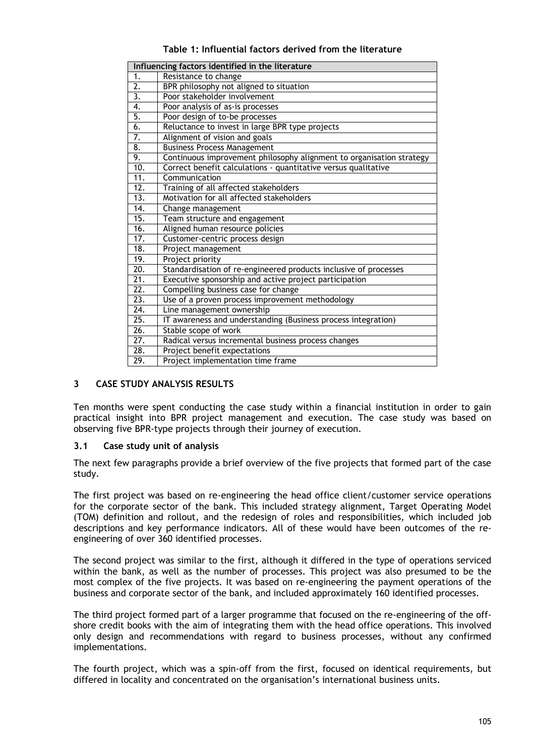| Table 1: Influential factors derived from the literature |  |  |  |  |  |  |  |  |
|----------------------------------------------------------|--|--|--|--|--|--|--|--|
|----------------------------------------------------------|--|--|--|--|--|--|--|--|

|                   | Influencing factors identified in the literature                     |
|-------------------|----------------------------------------------------------------------|
| 1.                | Resistance to change                                                 |
| $\overline{2}$ .  | BPR philosophy not aligned to situation                              |
| $\overline{3}$ .  | Poor stakeholder involvement                                         |
| 4.                | Poor analysis of as-is processes                                     |
| 5.                | Poor design of to-be processes                                       |
| 6.                | Reluctance to invest in large BPR type projects                      |
| 7.                | Alignment of vision and goals                                        |
| 8.                | <b>Business Process Management</b>                                   |
| 9.                | Continuous improvement philosophy alignment to organisation strategy |
| 10.               | Correct benefit calculations - quantitative versus qualitative       |
| 11.               | Communication                                                        |
| 12.               | Training of all affected stakeholders                                |
| $\overline{13}$ . | Motivation for all affected stakeholders                             |
| 14.               | Change management                                                    |
| 15.               | Team structure and engagement                                        |
| 16.               | Aligned human resource policies                                      |
| 17.               | Customer-centric process design                                      |
| 18.               | Project management                                                   |
| 19.               | Project priority                                                     |
| 20.               | Standardisation of re-engineered products inclusive of processes     |
| $\overline{21}$ . | Executive sponsorship and active project participation               |
| $\overline{22}$ . | Compelling business case for change                                  |
| 23.               | Use of a proven process improvement methodology                      |
| 24.               | Line management ownership                                            |
| 25.               | IT awareness and understanding (Business process integration)        |
| 26.               | Stable scope of work                                                 |
| 27.               | Radical versus incremental business process changes                  |
| $\overline{28}$ . | Project benefit expectations                                         |
| 29.               | Project implementation time frame                                    |

# **3 CASE STUDY ANALYSIS RESULTS**

Ten months were spent conducting the case study within a financial institution in order to gain practical insight into BPR project management and execution. The case study was based on observing five BPR-type projects through their journey of execution.

# **3.1 Case study unit of analysis**

The next few paragraphs provide a brief overview of the five projects that formed part of the case study.

The first project was based on re-engineering the head office client/customer service operations for the corporate sector of the bank. This included strategy alignment, Target Operating Model (TOM) definition and rollout, and the redesign of roles and responsibilities, which included job descriptions and key performance indicators. All of these would have been outcomes of the reengineering of over 360 identified processes.

The second project was similar to the first, although it differed in the type of operations serviced within the bank, as well as the number of processes. This project was also presumed to be the most complex of the five projects. It was based on re-engineering the payment operations of the business and corporate sector of the bank, and included approximately 160 identified processes.

The third project formed part of a larger programme that focused on the re-engineering of the offshore credit books with the aim of integrating them with the head office operations. This involved only design and recommendations with regard to business processes, without any confirmed implementations.

The fourth project, which was a spin-off from the first, focused on identical requirements, but differed in locality and concentrated on the organisation's international business units.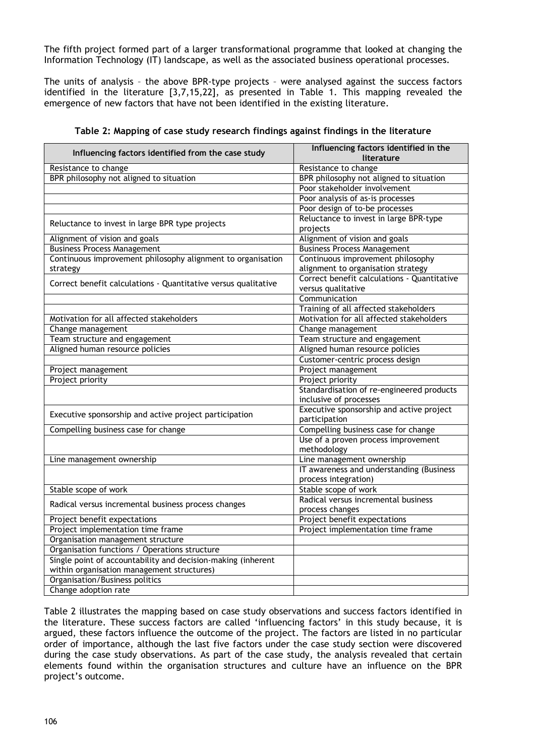The fifth project formed part of a larger transformational programme that looked at changing the Information Technology (IT) landscape, as well as the associated business operational processes.

The units of analysis – the above BPR-type projects – were analysed against the success factors identified in the literature [3,7,15,22], as presented in Table 1. This mapping revealed the emergence of new factors that have not been identified in the existing literature.

|                                                                | Influencing factors identified in the       |
|----------------------------------------------------------------|---------------------------------------------|
| Influencing factors identified from the case study             | literature                                  |
| Resistance to change                                           | Resistance to change                        |
| BPR philosophy not aligned to situation                        | BPR philosophy not aligned to situation     |
|                                                                | Poor stakeholder involvement                |
|                                                                | Poor analysis of as-is processes            |
|                                                                | Poor design of to-be processes              |
|                                                                | Reluctance to invest in large BPR-type      |
| Reluctance to invest in large BPR type projects                | projects                                    |
| Alignment of vision and goals                                  | Alignment of vision and goals               |
| <b>Business Process Management</b>                             | <b>Business Process Management</b>          |
| Continuous improvement philosophy alignment to organisation    | Continuous improvement philosophy           |
| strategy                                                       | alignment to organisation strategy          |
| Correct benefit calculations - Quantitative versus qualitative | Correct benefit calculations - Quantitative |
|                                                                | versus qualitative                          |
|                                                                | Communication                               |
|                                                                | Training of all affected stakeholders       |
| Motivation for all affected stakeholders                       | Motivation for all affected stakeholders    |
| Change management                                              | Change management                           |
| Team structure and engagement                                  | Team structure and engagement               |
| Aligned human resource policies                                | Aligned human resource policies             |
|                                                                | Customer-centric process design             |
| Project management                                             | Project management                          |
| Project priority                                               | Project priority                            |
|                                                                | Standardisation of re-engineered products   |
|                                                                | inclusive of processes                      |
| Executive sponsorship and active project participation         | Executive sponsorship and active project    |
|                                                                | participation                               |
| Compelling business case for change                            | Compelling business case for change         |
|                                                                | Use of a proven process improvement         |
|                                                                | methodology                                 |
| Line management ownership                                      | Line management ownership                   |
|                                                                | IT awareness and understanding (Business    |
|                                                                | process integration)                        |
| Stable scope of work                                           | Stable scope of work                        |
| Radical versus incremental business process changes            | Radical versus incremental business         |
|                                                                | process changes                             |
| Project benefit expectations                                   | Project benefit expectations                |
| Project implementation time frame                              | Project implementation time frame           |
| Organisation management structure                              |                                             |
| Organisation functions / Operations structure                  |                                             |
| Single point of accountability and decision-making (inherent   |                                             |
| within organisation management structures)                     |                                             |
| Organisation/Business politics                                 |                                             |
| Change adoption rate                                           |                                             |

Table 2 illustrates the mapping based on case study observations and success factors identified in the literature. These success factors are called 'influencing factors' in this study because, it is argued, these factors influence the outcome of the project. The factors are listed in no particular order of importance, although the last five factors under the case study section were discovered during the case study observations. As part of the case study, the analysis revealed that certain elements found within the organisation structures and culture have an influence on the BPR project's outcome.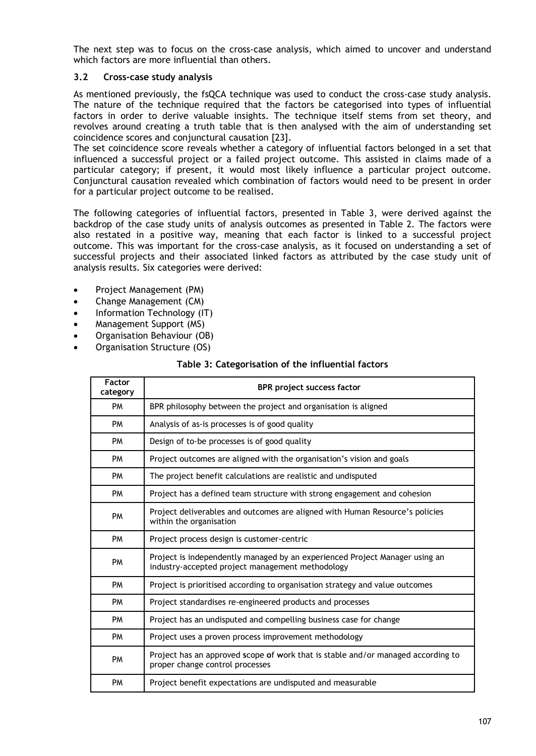The next step was to focus on the cross-case analysis, which aimed to uncover and understand which factors are more influential than others.

## **3.2 Cross-case study analysis**

As mentioned previously, the fsQCA technique was used to conduct the cross-case study analysis. The nature of the technique required that the factors be categorised into types of influential factors in order to derive valuable insights. The technique itself stems from set theory, and revolves around creating a truth table that is then analysed with the aim of understanding set coincidence scores and conjunctural causation [23].

The set coincidence score reveals whether a category of influential factors belonged in a set that influenced a successful project or a failed project outcome. This assisted in claims made of a particular category; if present, it would most likely influence a particular project outcome. Conjunctural causation revealed which combination of factors would need to be present in order for a particular project outcome to be realised.

The following categories of influential factors, presented in Table 3, were derived against the backdrop of the case study units of analysis outcomes as presented in Table 2. The factors were also restated in a positive way, meaning that each factor is linked to a successful project outcome. This was important for the cross-case analysis, as it focused on understanding a set of successful projects and their associated linked factors as attributed by the case study unit of analysis results. Six categories were derived:

- Project Management (PM)
- Change Management (CM)
- Information Technology (IT)
- Management Support (MS)
- Organisation Behaviour (OB)
- Organisation Structure (OS)

## **Table 3: Categorisation of the influential factors**

| <b>Factor</b><br>category | <b>BPR</b> project success factor                                                                                               |
|---------------------------|---------------------------------------------------------------------------------------------------------------------------------|
| <b>PM</b>                 | BPR philosophy between the project and organisation is aligned                                                                  |
| <b>PM</b>                 | Analysis of as-is processes is of good quality                                                                                  |
| <b>PM</b>                 | Design of to-be processes is of good quality                                                                                    |
| <b>PM</b>                 | Project outcomes are aligned with the organisation's vision and goals                                                           |
| <b>PM</b>                 | The project benefit calculations are realistic and undisputed                                                                   |
| <b>PM</b>                 | Project has a defined team structure with strong engagement and cohesion                                                        |
| <b>PM</b>                 | Project deliverables and outcomes are aligned with Human Resource's policies<br>within the organisation                         |
| <b>PM</b>                 | Project process design is customer-centric                                                                                      |
| <b>PM</b>                 | Project is independently managed by an experienced Project Manager using an<br>industry-accepted project management methodology |
| <b>PM</b>                 | Project is prioritised according to organisation strategy and value outcomes                                                    |
| <b>PM</b>                 | Project standardises re-engineered products and processes                                                                       |
| <b>PM</b>                 | Project has an undisputed and compelling business case for change                                                               |
| <b>PM</b>                 | Project uses a proven process improvement methodology                                                                           |
| <b>PM</b>                 | Project has an approved scope of work that is stable and/or managed according to<br>proper change control processes             |
| <b>PM</b>                 | Project benefit expectations are undisputed and measurable                                                                      |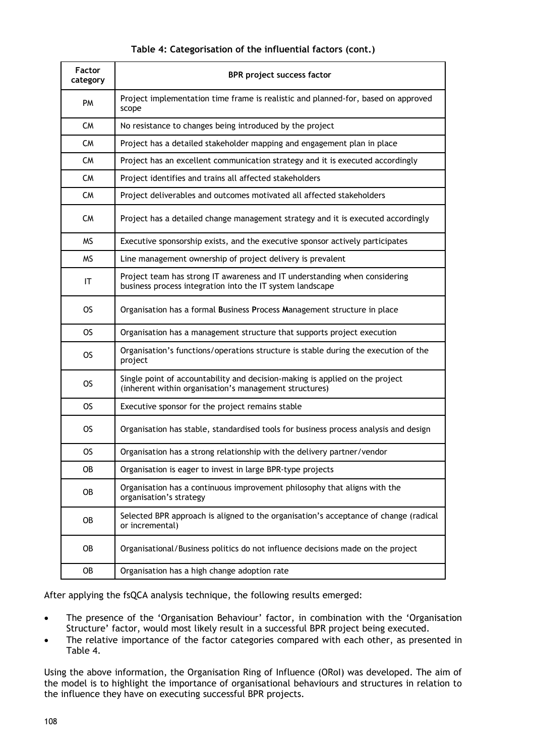| Factor<br>category | BPR project success factor                                                                                                              |
|--------------------|-----------------------------------------------------------------------------------------------------------------------------------------|
| PM                 | Project implementation time frame is realistic and planned-for, based on approved<br>scope                                              |
| <b>CM</b>          | No resistance to changes being introduced by the project                                                                                |
| <b>CM</b>          | Project has a detailed stakeholder mapping and engagement plan in place                                                                 |
| CM                 | Project has an excellent communication strategy and it is executed accordingly                                                          |
| <b>CM</b>          | Project identifies and trains all affected stakeholders                                                                                 |
| <b>CM</b>          | Project deliverables and outcomes motivated all affected stakeholders                                                                   |
| <b>CM</b>          | Project has a detailed change management strategy and it is executed accordingly                                                        |
| <b>MS</b>          | Executive sponsorship exists, and the executive sponsor actively participates                                                           |
| ΜS                 | Line management ownership of project delivery is prevalent                                                                              |
| ΙT                 | Project team has strong IT awareness and IT understanding when considering<br>business process integration into the IT system landscape |
| <b>OS</b>          | Organisation has a formal Business Process Management structure in place                                                                |
| OS.                | Organisation has a management structure that supports project execution                                                                 |
| OS.                | Organisation's functions/operations structure is stable during the execution of the<br>project                                          |
| OS.                | Single point of accountability and decision-making is applied on the project<br>(inherent within organisation's management structures)  |
| OS                 | Executive sponsor for the project remains stable                                                                                        |
| OS.                | Organisation has stable, standardised tools for business process analysis and design                                                    |
| OS.                | Organisation has a strong relationship with the delivery partner/vendor                                                                 |
| OB                 | Organisation is eager to invest in large BPR-type projects                                                                              |
| OB                 | Organisation has a continuous improvement philosophy that aligns with the<br>organisation's strategy                                    |
| OB                 | Selected BPR approach is aligned to the organisation's acceptance of change (radical<br>or incremental)                                 |
| OB                 | Organisational/Business politics do not influence decisions made on the project                                                         |
| OB                 | Organisation has a high change adoption rate                                                                                            |

## **Table 4: Categorisation of the influential factors (cont.)**

After applying the fsQCA analysis technique, the following results emerged:

- The presence of the 'Organisation Behaviour' factor, in combination with the 'Organisation Structure' factor, would most likely result in a successful BPR project being executed.
- The relative importance of the factor categories compared with each other, as presented in Table 4.

Using the above information, the Organisation Ring of Influence (ORoI) was developed. The aim of the model is to highlight the importance of organisational behaviours and structures in relation to the influence they have on executing successful BPR projects.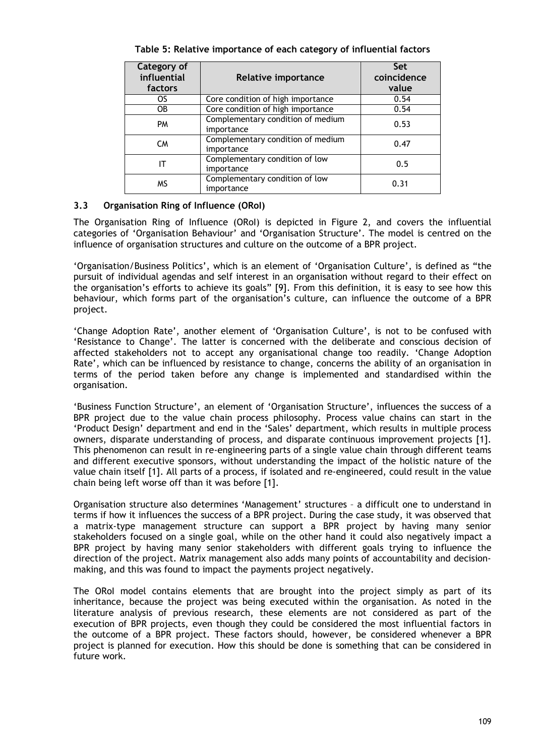| Category of<br>influential<br>factors | Relative importance                             | Set<br>coincidence<br>value |
|---------------------------------------|-------------------------------------------------|-----------------------------|
| OS.                                   | Core condition of high importance               | 0.54                        |
| 0B                                    | Core condition of high importance               | 0.54                        |
| <b>PM</b>                             | Complementary condition of medium<br>importance | 0.53                        |
| <b>CM</b>                             | Complementary condition of medium<br>importance | 0.47                        |
| IΤ                                    | Complementary condition of low<br>importance    | 0.5                         |
| <b>MS</b>                             | Complementary condition of low<br>importance    | 0.31                        |

**Table 5: Relative importance of each category of influential factors**

# **3.3 Organisation Ring of Influence (ORoI)**

The Organisation Ring of Influence (ORoI) is depicted in Figure 2, and covers the influential categories of 'Organisation Behaviour' and 'Organisation Structure'. The model is centred on the influence of organisation structures and culture on the outcome of a BPR project.

'Organisation/Business Politics', which is an element of 'Organisation Culture', is defined as "the pursuit of individual agendas and self interest in an organisation without regard to their effect on the organisation's efforts to achieve its goals" [9]. From this definition, it is easy to see how this behaviour, which forms part of the organisation's culture, can influence the outcome of a BPR project.

'Change Adoption Rate', another element of 'Organisation Culture', is not to be confused with 'Resistance to Change'. The latter is concerned with the deliberate and conscious decision of affected stakeholders not to accept any organisational change too readily. 'Change Adoption Rate', which can be influenced by resistance to change, concerns the ability of an organisation in terms of the period taken before any change is implemented and standardised within the organisation.

'Business Function Structure', an element of 'Organisation Structure', influences the success of a BPR project due to the value chain process philosophy. Process value chains can start in the 'Product Design' department and end in the 'Sales' department, which results in multiple process owners, disparate understanding of process, and disparate continuous improvement projects [1]. This phenomenon can result in re-engineering parts of a single value chain through different teams and different executive sponsors, without understanding the impact of the holistic nature of the value chain itself [1]. All parts of a process, if isolated and re-engineered, could result in the value chain being left worse off than it was before [1].

Organisation structure also determines 'Management' structures – a difficult one to understand in terms if how it influences the success of a BPR project. During the case study, it was observed that a matrix-type management structure can support a BPR project by having many senior stakeholders focused on a single goal, while on the other hand it could also negatively impact a BPR project by having many senior stakeholders with different goals trying to influence the direction of the project. Matrix management also adds many points of accountability and decisionmaking, and this was found to impact the payments project negatively.

The ORoI model contains elements that are brought into the project simply as part of its inheritance, because the project was being executed within the organisation. As noted in the literature analysis of previous research, these elements are not considered as part of the execution of BPR projects, even though they could be considered the most influential factors in the outcome of a BPR project. These factors should, however, be considered whenever a BPR project is planned for execution. How this should be done is something that can be considered in future work.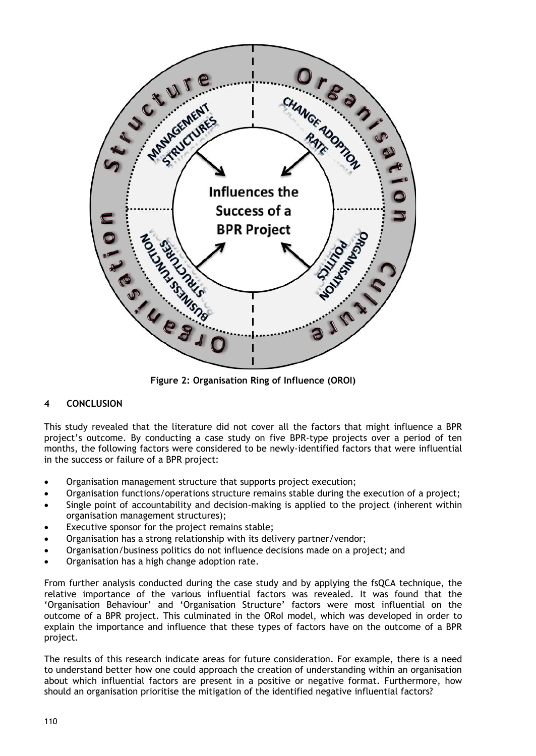

**Figure 2: Organisation Ring of Influence (OROI)**

# **4 CONCLUSION**

This study revealed that the literature did not cover all the factors that might influence a BPR project's outcome. By conducting a case study on five BPR-type projects over a period of ten months, the following factors were considered to be newly-identified factors that were influential in the success or failure of a BPR project:

- Organisation management structure that supports project execution;
- Organisation functions/operations structure remains stable during the execution of a project;
- Single point of accountability and decision-making is applied to the project (inherent within organisation management structures);
- Executive sponsor for the project remains stable;
- Organisation has a strong relationship with its delivery partner/vendor;
- Organisation/business politics do not influence decisions made on a project; and
- Organisation has a high change adoption rate.

From further analysis conducted during the case study and by applying the fsQCA technique, the relative importance of the various influential factors was revealed. It was found that the 'Organisation Behaviour' and 'Organisation Structure' factors were most influential on the outcome of a BPR project. This culminated in the ORoI model, which was developed in order to explain the importance and influence that these types of factors have on the outcome of a BPR project.

The results of this research indicate areas for future consideration. For example, there is a need to understand better how one could approach the creation of understanding within an organisation about which influential factors are present in a positive or negative format. Furthermore, how should an organisation prioritise the mitigation of the identified negative influential factors?